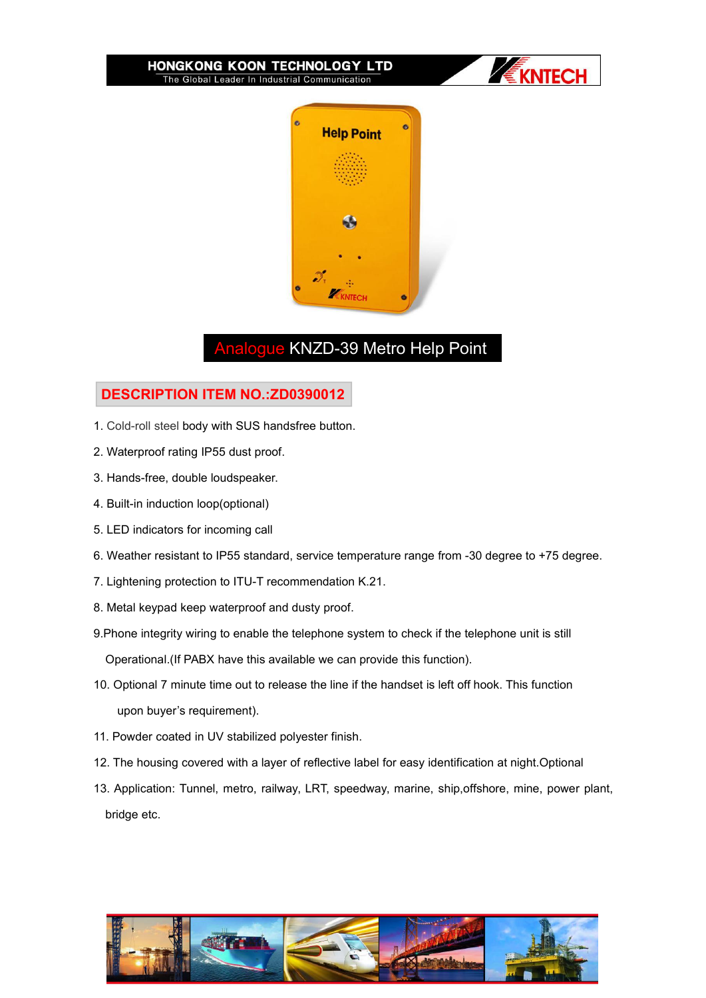



# Analogue KNZD-39 Metro Help Point

## **DESCRIPTION ITEM NO.:ZD0390012**

- 1. Cold-roll steel body with SUS handsfree button.
- 2. Waterproof rating IP55 dust proof.
- 3. Hands-free, double loudspeaker.
- 4. Built-in induction loop(optional)
- 5. LED indicators for incoming call
- 6. Weather resistant to IP55 standard, service temperature range from -30 degree to +75 degree.
- 7. Lightening protection to ITU-T recommendation K.21.
- 8. Metal keypad keep waterproof and dusty proof.
- 9.Phone integrity wiring to enable the telephone system to check if the telephone unit is still Operational.(If PABX have this available we can provide this function).
- 10. Optional 7 minute time out to release the line if the handset is left off hook. This function upon buyer's requirement).
- 11. Powder coated in UV stabilized polyester finish.
- 12. The housing covered with a layer of reflective label for easy identification at night.Optional
- 13. Application: Tunnel, metro, railway, LRT, speedway, marine, ship,offshore, mine, power plant, bridge etc.